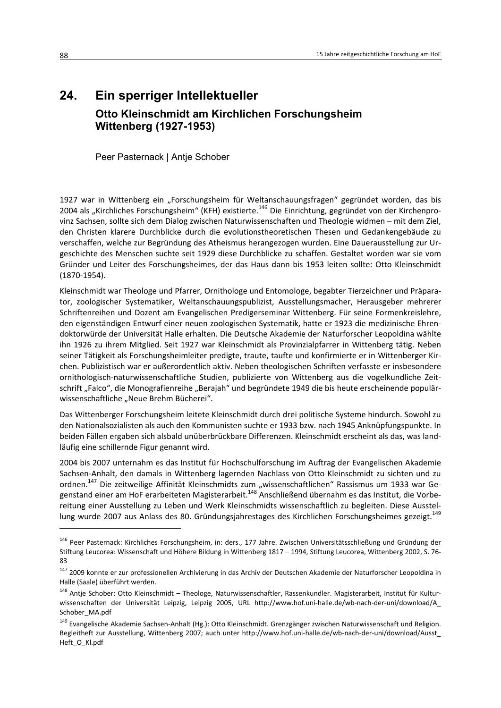## 24. Ein sperriger Intellektueller Otto Kleinschmidt am Kirchlichen Forschungsheim **Wittenberg (1927-1953)**

Peer Pasternack | Antje Schober

1927 war in Wittenberg ein "Forschungsheim für Weltanschauungsfragen" gegründet worden, das bis 2004 als "Kirchliches Forschungsheim" (KFH) existierte.<sup>146</sup> Die Einrichtung, gegründet von der Kirchenprovinz Sachsen, sollte sich dem Dialog zwischen Naturwissenschaften und Theologie widmen - mit dem Ziel, den Christen klarere Durchblicke durch die evolutionstheoretischen Thesen und Gedankengebäude zu verschaffen, welche zur Begründung des Atheismus herangezogen wurden. Eine Dauerausstellung zur Urgeschichte des Menschen suchte seit 1929 diese Durchblicke zu schaffen. Gestaltet worden war sie vom Gründer und Leiter des Forschungsheimes, der das Haus dann bis 1953 leiten sollte: Otto Kleinschmidt  $(1870-1954).$ 

Kleinschmidt war Theologe und Pfarrer, Ornithologe und Entomologe, begabter Tierzeichner und Präparator, zoologischer Systematiker, Weltanschauungspublizist, Ausstellungsmacher, Herausgeber mehrerer Schriftenreihen und Dozent am Evangelischen Predigerseminar Wittenberg. Für seine Formenkreislehre, den eigenständigen Entwurf einer neuen zoologischen Systematik, hatte er 1923 die medizinische Ehrendoktorwürde der Universität Halle erhalten. Die Deutsche Akademie der Naturforscher Leopoldina wählte ihn 1926 zu ihrem Mitglied. Seit 1927 war Kleinschmidt als Provinzialpfarrer in Wittenberg tätig. Neben seiner Tätigkeit als Forschungsheimleiter predigte, traute, taufte und konfirmierte er in Wittenberger Kirchen. Publizistisch war er außerordentlich aktiv. Neben theologischen Schriften verfasste er insbesondere ornithologisch-naturwissenschaftliche Studien, publizierte von Wittenberg aus die vogelkundliche Zeitschrift "Falco", die Monografienreihe "Berajah" und begründete 1949 die bis heute erscheinende populärwissenschaftliche "Neue Brehm Bücherei".

Das Wittenberger Forschungsheim leitete Kleinschmidt durch drei politische Systeme hindurch. Sowohl zu den Nationalsozialisten als auch den Kommunisten suchte er 1933 bzw. nach 1945 Anknüpfungspunkte. In beiden Fällen ergaben sich alsbald unüberbrückbare Differenzen. Kleinschmidt erscheint als das, was landläufig eine schillernde Figur genannt wird.

2004 bis 2007 unternahm es das Institut für Hochschulforschung im Auftrag der Evangelischen Akademie Sachsen-Anhalt, den damals in Wittenberg lagernden Nachlass von Otto Kleinschmidt zu sichten und zu ordnen.<sup>147</sup> Die zeitweilige Affinität Kleinschmidts zum "wissenschaftlichen" Rassismus um 1933 war Gegenstand einer am HoF erarbeiteten Magisterarbeit.<sup>148</sup> Anschließend übernahm es das Institut, die Vorbereitung einer Ausstellung zu Leben und Werk Kleinschmidts wissenschaftlich zu begleiten. Diese Ausstellung wurde 2007 aus Anlass des 80. Gründungsjahrestages des Kirchlichen Forschungsheimes gezeigt.<sup>149</sup>

<sup>&</sup>lt;sup>146</sup> Peer Pasternack: Kirchliches Forschungsheim, in: ders., 177 Jahre. Zwischen Universitätsschließung und Gründung der Stiftung Leucorea: Wissenschaft und Höhere Bildung in Wittenberg 1817 - 1994, Stiftung Leucorea, Wittenberg 2002, S. 76-83

<sup>147 2009</sup> konnte er zur professionellen Archivierung in das Archiv der Deutschen Akademie der Naturforscher Leopoldina in Halle (Saale) überführt werden.

<sup>&</sup>lt;sup>148</sup> Antje Schober: Otto Kleinschmidt – Theologe, Naturwissenschaftler, Rassenkundler. Magisterarbeit, Institut für Kulturwissenschaften der Universität Leipzig, Leipzig 2005, URL http://www.hof.uni-halle.de/wb-nach-der-uni/download/A Schober MA.pdf

<sup>&</sup>lt;sup>149</sup> Evangelische Akademie Sachsen-Anhalt (Hg.): Otto Kleinschmidt. Grenzgänger zwischen Naturwissenschaft und Religion. Begleitheft zur Ausstellung, Wittenberg 2007; auch unter http://www.hof.uni-halle.de/wb-nach-der-uni/download/Ausst Heft O Kl.pdf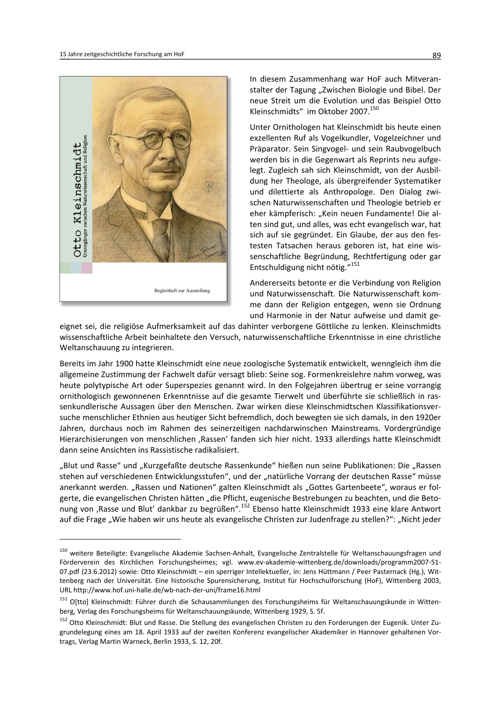

In diesem Zusammenhang war HoF auch Mitveranstalter der Tagung "Zwischen Biologie und Bibel. Der neue Streit um die Evolution und das Beispiel Otto Kleinschmidts" im Oktober 2007.<sup>150</sup>

Unter Ornithologen hat Kleinschmidt bis heute einen exzellenten Ruf als Vogelkundler, Vogelzeichner und Präparator. Sein Singvogel- und sein Raubvogelbuch werden bis in die Gegenwart als Reprints neu aufgelegt. Zugleich sah sich Kleinschmidt, von der Ausbildung her Theologe, als übergreifender Systematiker und dilettierte als Anthropologe. Den Dialog zwischen Naturwissenschaften und Theologie betrieb er eher kämpferisch: "Kein neuen Fundamente! Die alten sind gut, und alles, was echt evangelisch war, hat sich auf sie gegründet. Ein Glaube, der aus den festesten Tatsachen heraus geboren ist, hat eine wissenschaftliche Begründung, Rechtfertigung oder gar Entschuldigung nicht nötig."151

Andererseits betonte er die Verbindung von Religion und Naturwissenschaft. Die Naturwissenschaft komme dann der Religion entgegen, wenn sie Ordnung und Harmonie in der Natur aufweise und damit ge-

eignet sei, die religiöse Aufmerksamkeit auf das dahinter verborgene Göttliche zu lenken. Kleinschmidts wissenschaftliche Arbeit beinhaltete den Versuch, naturwissenschaftliche Erkenntnisse in eine christliche Weltanschauung zu integrieren.

Bereits im Jahr 1900 hatte Kleinschmidt eine neue zoologische Systematik entwickelt, wenngleich ihm die allgemeine Zustimmung der Fachwelt dafür versagt blieb: Seine sog. Formenkreislehre nahm vorweg, was heute polytypische Art oder Superspezies genannt wird. In den Folgejahren übertrug er seine vorrangig ornithologisch gewonnenen Erkenntnisse auf die gesamte Tierwelt und überführte sie schließlich in rassenkundlerische Aussagen über den Menschen. Zwar wirken diese Kleinschmidtschen Klassifikationsversuche menschlicher Ethnien aus heutiger Sicht befremdlich, doch bewegten sie sich damals, in den 1920er Jahren, durchaus noch im Rahmen des seinerzeitigen nachdarwinschen Mainstreams. Vordergründige Hierarchisierungen von menschlichen "Rassen' fanden sich hier nicht. 1933 allerdings hatte Kleinschmidt dann seine Ansichten ins Rassistische radikalisiert.

"Blut und Rasse" und "Kurzgefaßte deutsche Rassenkunde" hießen nun seine Publikationen: Die "Rassen stehen auf verschiedenen Entwicklungsstufen", und der "natürliche Vorrang der deutschen Rasse" müsse anerkannt werden. "Rassen und Nationen" galten Kleinschmidt als "Gottes Gartenbeete", woraus er folgerte, die evangelischen Christen hätten "die Pflicht, eugenische Bestrebungen zu beachten, und die Betonung von , Rasse und Blut' dankbar zu begrüßen".<sup>152</sup> Ebenso hatte Kleinschmidt 1933 eine klare Antwort auf die Frage "Wie haben wir uns heute als evangelische Christen zur Judenfrage zu stellen?": "Nicht jeder

<sup>&</sup>lt;sup>150</sup> weitere Beteiligte: Evangelische Akademie Sachsen-Anhalt, Evangelische Zentralstelle für Weltanschauungsfragen und Förderverein des Kirchlichen Forschungsheimes; vgl. www.ev-akademie-wittenberg.de/downloads/programm2007-51-07.pdf (23.6.2012) sowie: Otto Kleinschmidt - ein sperriger Intellektueller, in: Jens Hüttmann / Peer Pasternack (Hg.), Wittenberg nach der Universität. Eine historische Spurensicherung, Institut für Hochschulforschung (HoF), Wittenberg 2003, URL http://www.hof.uni-halle.de/wb-nach-der-uni/frame16.html

<sup>&</sup>lt;sup>151</sup> O[tto] Kleinschmidt: Führer durch die Schausammlungen des Forschungsheims für Weltanschauungskunde in Wittenberg, Verlag des Forschungsheims für Weltanschauungskunde, Wittenberg 1929, S. 5f.

<sup>152</sup> Otto Kleinschmidt: Blut und Rasse. Die Stellung des evangelischen Christen zu den Forderungen der Eugenik. Unter Zugrundelegung eines am 18. April 1933 auf der zweiten Konferenz evangelischer Akademiker in Hannover gehaltenen Vortrags, Verlag Martin Warneck, Berlin 1933, S. 12, 20f.